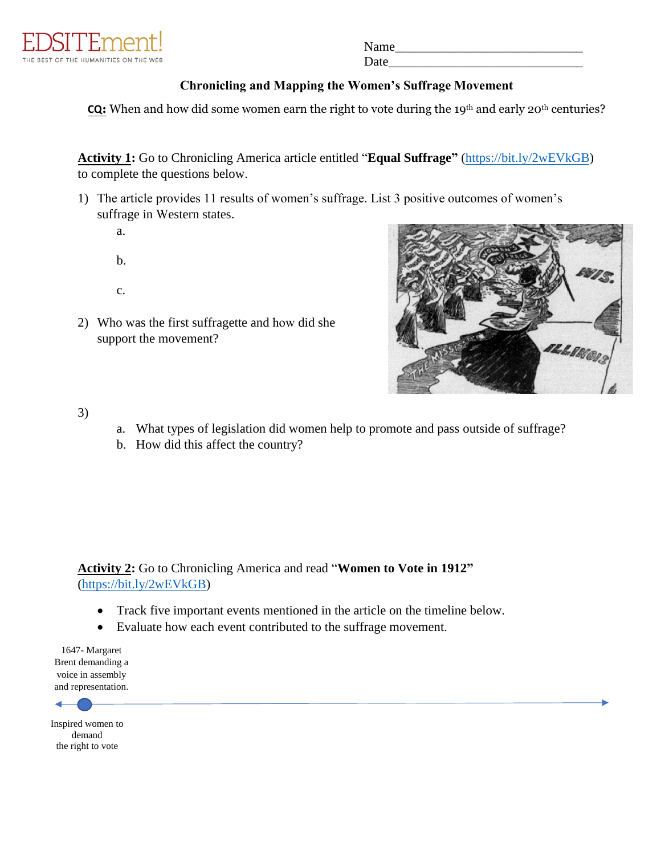

Name Date

## **Chronicling and Mapping the Women's Suffrage Movement**

**CQ**: When and how did some women earn the right to vote during the 19<sup>th</sup> and early 20<sup>th</sup> centuries?

**Activity 1:** Go to Chronicling America article entitled "**Equal Suffrage"** (https://bit.ly/2wEVkGB) [to complete the questions](https://bit.ly/2wEVkGB) below.

- 1) The article provides 11 results of women's suffrage. List 3 positive outcomes of women's suffrage in Western states.
	- a.
	- b.
	- c.
- 2) Who was the first suffragette and how did she support the movement?



3)

- a. What types of legislation did women help to promote and pass outside of suffrage?
- b. How did this affect the country?

**Activity 2:** Go to Chronicling America and read "**Women to Vote in 1912"** [\(https://bit.ly/2wEVkGB\)](https://bit.ly/2wEVkGB)

- Track five important events mentioned in the article on the timeline below.
- Evaluate how each event contributed to the suffrage movement.

1647- Margaret Brent demanding a voice in assembly and representation.



Inspired women to demand the right to vote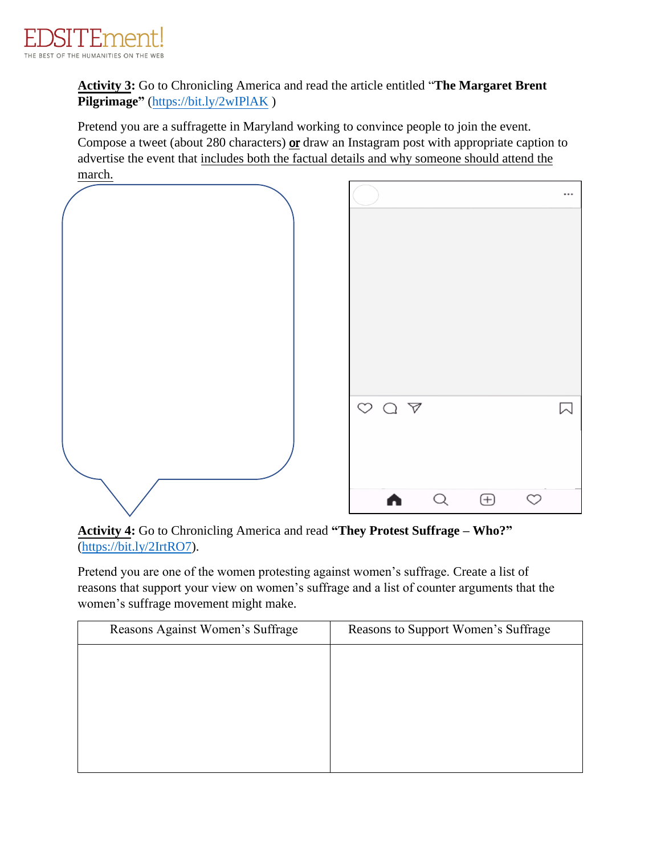

**Activity 3:** Go to Chronicling America and read the article entitled "**The Margaret Brent Pilgrimage"** [\(https://bit.ly/2wIPlAK](https://bit.ly/2wIPlAK) )

Pretend you are a suffragette in Maryland working to convince people to join the event. Compose a tweet (about 280 characters) or draw an Instagram post with appropriate caption to advertise the event that includes both the factual details and why someone should attend the march.



**Activity 4:** Go to Chronicling America and read **"They Protest Suffrage – Who?"** [\(https://bit.ly/2IrtRO7\)](https://bit.ly/2IrtRO7).

Pretend you are one of the women protesting against women's suffrage. Create a list of reasons that support your view on women's suffrage and a list of counter arguments that the women's suffrage movement might make.

| Reasons to Support Women's Suffrage |
|-------------------------------------|
|                                     |
|                                     |
|                                     |
|                                     |
|                                     |
|                                     |